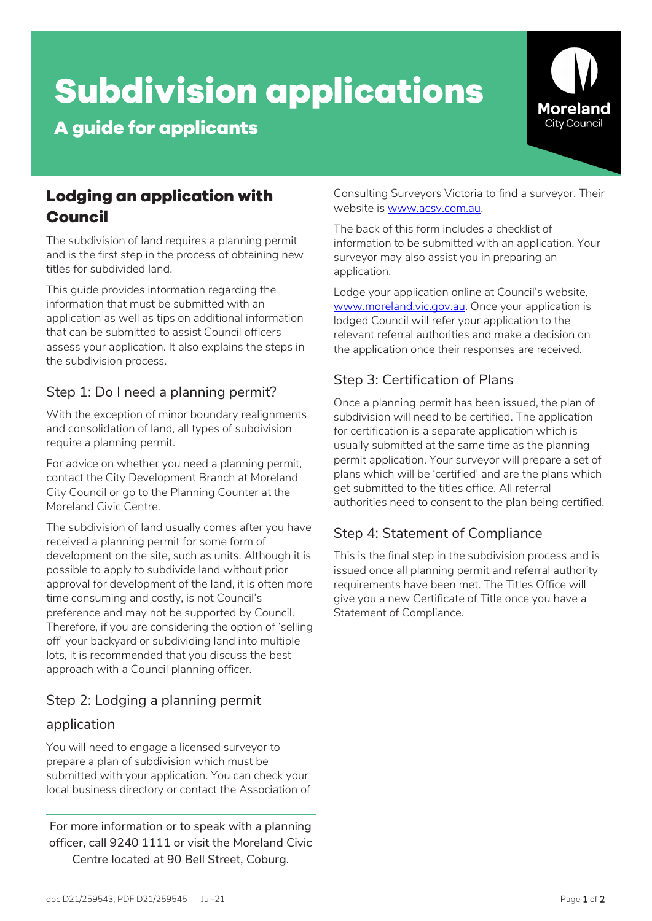# **Subdivision applications**

**A guide for applicants**



# **Lodging an application with Council**

The subdivision of land requires a planning permit and is the first step in the process of obtaining new titles for subdivided land.

This guide provides information regarding the information that must be submitted with an application as well as tips on additional information that can be submitted to assist Council officers assess your application. It also explains the steps in the subdivision process.

# Step 1: Do I need a planning permit?

With the exception of minor boundary realignments and consolidation of land, all types of subdivision require a planning permit.

For advice on whether you need a planning permit, contact the City Development Branch at Moreland City Council or go to the Planning Counter at the Moreland Civic Centre.

The subdivision of land usually comes after you have received a planning permit for some form of development on the site, such as units. Although it is possible to apply to subdivide land without prior approval for development of the land, it is often more time consuming and costly, is not Council's preference and may not be supported by Council. Therefore, if you are considering the option of 'selling off' your backyard or subdividing land into multiple lots, it is recommended that you discuss the best approach with a Council planning officer.

# Step 2: Lodging a planning permit

## application

You will need to engage a licensed surveyor to prepare a plan of subdivision which must be submitted with your application. You can check your local business directory or contact the Association of

For more information or to speak with a planning officer, call 9240 1111 or visit the Moreland Civic Centre located at 90 Bell Street, Coburg.

Consulting Surveyors Victoria to find a surveyor. Their website is www.acsv.com.au.

The back of this form includes a checklist of information to be submitted with an application. Your surveyor may also assist you in preparing an application.

Lodge your application online at Council's website, [www.moreland.vic.gov.au.](http://www.moreland.vic.gov.au/) Once your application is lodged Council will refer your application to the relevant referral authorities and make a decision on the application once their responses are received.

# Step 3: Certification of Plans

Once a planning permit has been issued, the plan of subdivision will need to be certified. The application for certification is a separate application which is usually submitted at the same time as the planning permit application. Your surveyor will prepare a set of plans which will be 'certified' and are the plans which get submitted to the titles office. All referral authorities need to consent to the plan being certified.

# Step 4: Statement of Compliance

This is the final step in the subdivision process and is issued once all planning permit and referral authority requirements have been met. The Titles Office will give you a new Certificate of Title once you have a Statement of Compliance.